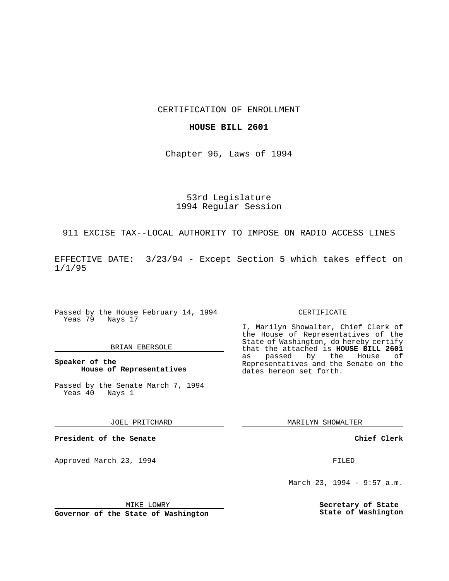CERTIFICATION OF ENROLLMENT

### **HOUSE BILL 2601**

Chapter 96, Laws of 1994

## 53rd Legislature 1994 Regular Session

911 EXCISE TAX--LOCAL AUTHORITY TO IMPOSE ON RADIO ACCESS LINES

EFFECTIVE DATE: 3/23/94 - Except Section 5 which takes effect on 1/1/95

Passed by the House February 14, 1994 Yeas 79 Nays 17

#### BRIAN EBERSOLE

**Speaker of the House of Representatives**

Passed by the Senate March 7, 1994 Yeas 40 Nays 1

JOEL PRITCHARD

**President of the Senate**

Approved March 23, 1994 **FILED** 

#### CERTIFICATE

I, Marilyn Showalter, Chief Clerk of the House of Representatives of the State of Washington, do hereby certify that the attached is **HOUSE BILL 2601** as passed by the House of Representatives and the Senate on the dates hereon set forth.

MARILYN SHOWALTER

**Chief Clerk**

March 23, 1994 - 9:57 a.m.

**Secretary of State State of Washington**

MIKE LOWRY

**Governor of the State of Washington**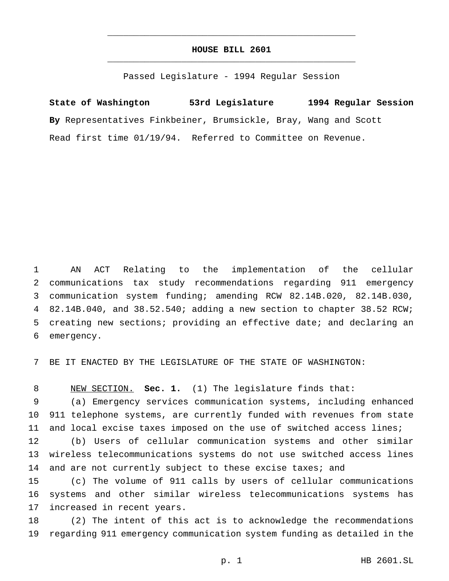# **HOUSE BILL 2601** \_\_\_\_\_\_\_\_\_\_\_\_\_\_\_\_\_\_\_\_\_\_\_\_\_\_\_\_\_\_\_\_\_\_\_\_\_\_\_\_\_\_\_\_\_\_\_

\_\_\_\_\_\_\_\_\_\_\_\_\_\_\_\_\_\_\_\_\_\_\_\_\_\_\_\_\_\_\_\_\_\_\_\_\_\_\_\_\_\_\_\_\_\_\_

Passed Legislature - 1994 Regular Session

**State of Washington 53rd Legislature 1994 Regular Session By** Representatives Finkbeiner, Brumsickle, Bray, Wang and Scott Read first time 01/19/94. Referred to Committee on Revenue.

 AN ACT Relating to the implementation of the cellular communications tax study recommendations regarding 911 emergency communication system funding; amending RCW 82.14B.020, 82.14B.030, 82.14B.040, and 38.52.540; adding a new section to chapter 38.52 RCW; creating new sections; providing an effective date; and declaring an emergency.

BE IT ENACTED BY THE LEGISLATURE OF THE STATE OF WASHINGTON:

NEW SECTION. **Sec. 1.** (1) The legislature finds that:

 (a) Emergency services communication systems, including enhanced 911 telephone systems, are currently funded with revenues from state and local excise taxes imposed on the use of switched access lines; (b) Users of cellular communication systems and other similar wireless telecommunications systems do not use switched access lines 14 and are not currently subject to these excise taxes; and

 (c) The volume of 911 calls by users of cellular communications systems and other similar wireless telecommunications systems has increased in recent years.

 (2) The intent of this act is to acknowledge the recommendations regarding 911 emergency communication system funding as detailed in the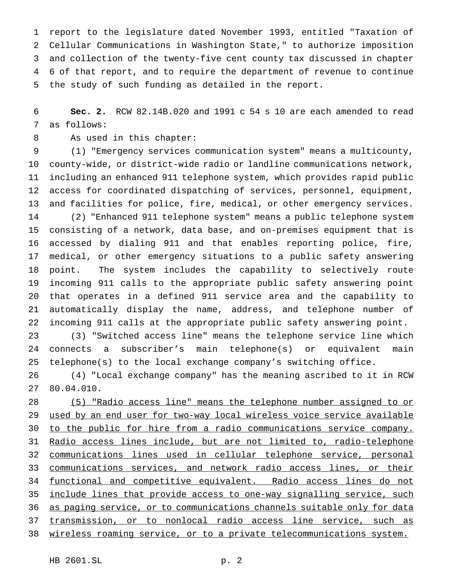report to the legislature dated November 1993, entitled "Taxation of Cellular Communications in Washington State," to authorize imposition and collection of the twenty-five cent county tax discussed in chapter 6 of that report, and to require the department of revenue to continue the study of such funding as detailed in the report.

 **Sec. 2.** RCW 82.14B.020 and 1991 c 54 s 10 are each amended to read as follows:

As used in this chapter:

 (1) "Emergency services communication system" means a multicounty, county-wide, or district-wide radio or landline communications network, including an enhanced 911 telephone system, which provides rapid public access for coordinated dispatching of services, personnel, equipment, and facilities for police, fire, medical, or other emergency services. (2) "Enhanced 911 telephone system" means a public telephone system consisting of a network, data base, and on-premises equipment that is accessed by dialing 911 and that enables reporting police, fire, medical, or other emergency situations to a public safety answering point. The system includes the capability to selectively route incoming 911 calls to the appropriate public safety answering point that operates in a defined 911 service area and the capability to automatically display the name, address, and telephone number of incoming 911 calls at the appropriate public safety answering point.

 (3) "Switched access line" means the telephone service line which connects a subscriber's main telephone(s) or equivalent main telephone(s) to the local exchange company's switching office.

 (4) "Local exchange company" has the meaning ascribed to it in RCW 80.04.010.

 (5) "Radio access line" means the telephone number assigned to or used by an end user for two-way local wireless voice service available to the public for hire from a radio communications service company. Radio access lines include, but are not limited to, radio-telephone communications lines used in cellular telephone service, personal communications services, and network radio access lines, or their functional and competitive equivalent. Radio access lines do not include lines that provide access to one-way signalling service, such as paging service, or to communications channels suitable only for data transmission, or to nonlocal radio access line service, such as wireless roaming service, or to a private telecommunications system.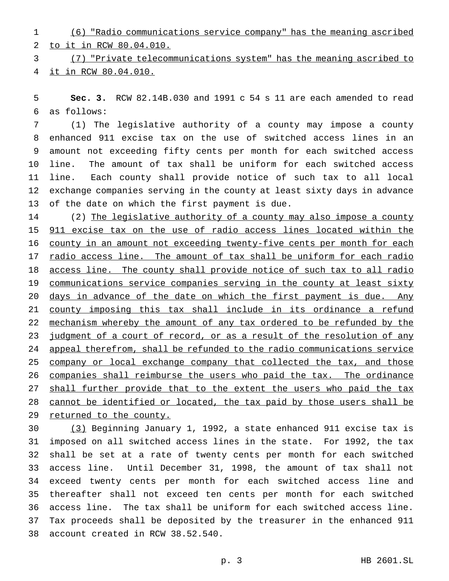(6) "Radio communications service company" has the meaning ascribed to it in RCW 80.04.010.

 (7) "Private telecommunications system" has the meaning ascribed to it in RCW 80.04.010.

 **Sec. 3.** RCW 82.14B.030 and 1991 c 54 s 11 are each amended to read as follows:

 (1) The legislative authority of a county may impose a county enhanced 911 excise tax on the use of switched access lines in an amount not exceeding fifty cents per month for each switched access line. The amount of tax shall be uniform for each switched access line. Each county shall provide notice of such tax to all local exchange companies serving in the county at least sixty days in advance of the date on which the first payment is due.

14 (2) The legislative authority of a county may also impose a county 911 excise tax on the use of radio access lines located within the 16 county in an amount not exceeding twenty-five cents per month for each 17 radio access line. The amount of tax shall be uniform for each radio 18 access line. The county shall provide notice of such tax to all radio communications service companies serving in the county at least sixty 20 days in advance of the date on which the first payment is due. Any 21 county imposing this tax shall include in its ordinance a refund 22 mechanism whereby the amount of any tax ordered to be refunded by the 23 judgment of a court of record, or as a result of the resolution of any 24 appeal therefrom, shall be refunded to the radio communications service 25 company or local exchange company that collected the tax, and those companies shall reimburse the users who paid the tax. The ordinance shall further provide that to the extent the users who paid the tax 28 cannot be identified or located, the tax paid by those users shall be 29 returned to the county.

 (3) Beginning January 1, 1992, a state enhanced 911 excise tax is imposed on all switched access lines in the state. For 1992, the tax shall be set at a rate of twenty cents per month for each switched access line. Until December 31, 1998, the amount of tax shall not exceed twenty cents per month for each switched access line and thereafter shall not exceed ten cents per month for each switched access line. The tax shall be uniform for each switched access line. Tax proceeds shall be deposited by the treasurer in the enhanced 911 account created in RCW 38.52.540.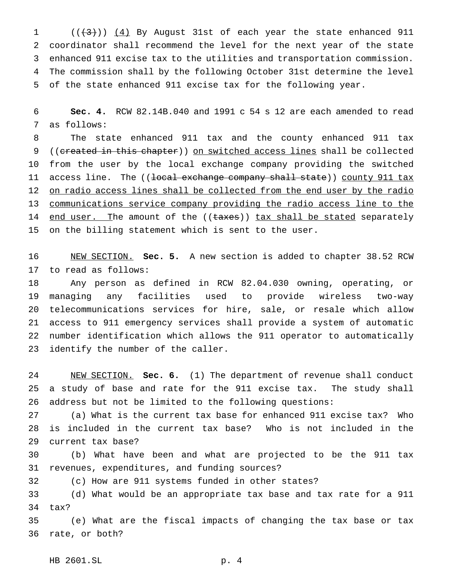1 (((3))) (4) By August 31st of each year the state enhanced 911 coordinator shall recommend the level for the next year of the state enhanced 911 excise tax to the utilities and transportation commission. The commission shall by the following October 31st determine the level of the state enhanced 911 excise tax for the following year.

 **Sec. 4.** RCW 82.14B.040 and 1991 c 54 s 12 are each amended to read as follows:

 The state enhanced 911 tax and the county enhanced 911 tax 9 ((created in this chapter)) on switched access lines shall be collected from the user by the local exchange company providing the switched 11 access line. The ((local exchange company shall state)) county 911 tax on radio access lines shall be collected from the end user by the radio communications service company providing the radio access line to the 14 end user. The amount of the ((taxes)) tax shall be stated separately on the billing statement which is sent to the user.

 NEW SECTION. **Sec. 5.** A new section is added to chapter 38.52 RCW to read as follows:

 Any person as defined in RCW 82.04.030 owning, operating, or managing any facilities used to provide wireless two-way telecommunications services for hire, sale, or resale which allow access to 911 emergency services shall provide a system of automatic number identification which allows the 911 operator to automatically identify the number of the caller.

 NEW SECTION. **Sec. 6.** (1) The department of revenue shall conduct a study of base and rate for the 911 excise tax. The study shall address but not be limited to the following questions:

 (a) What is the current tax base for enhanced 911 excise tax? Who is included in the current tax base? Who is not included in the current tax base?

 (b) What have been and what are projected to be the 911 tax revenues, expenditures, and funding sources?

(c) How are 911 systems funded in other states?

 (d) What would be an appropriate tax base and tax rate for a 911 tax?

 (e) What are the fiscal impacts of changing the tax base or tax rate, or both?